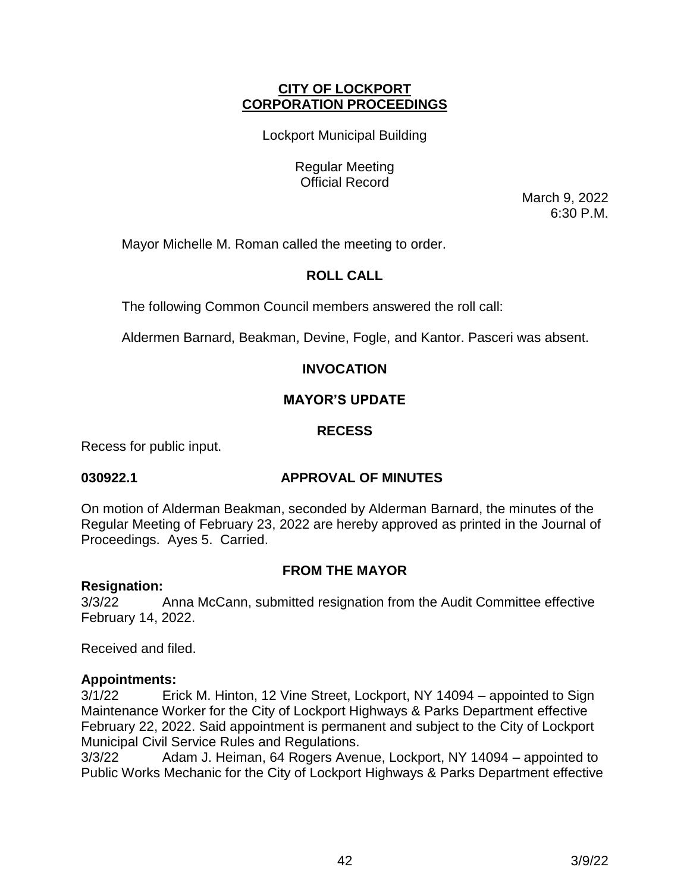# **CITY OF LOCKPORT CORPORATION PROCEEDINGS**

Lockport Municipal Building

Regular Meeting Official Record

March 9, 2022 6:30 P.M.

Mayor Michelle M. Roman called the meeting to order.

# **ROLL CALL**

The following Common Council members answered the roll call:

Aldermen Barnard, Beakman, Devine, Fogle, and Kantor. Pasceri was absent.

# **INVOCATION**

# **MAYOR'S UPDATE**

# **RECESS**

Recess for public input.

# **030922.1 APPROVAL OF MINUTES**

On motion of Alderman Beakman, seconded by Alderman Barnard, the minutes of the Regular Meeting of February 23, 2022 are hereby approved as printed in the Journal of Proceedings. Ayes 5. Carried.

# **FROM THE MAYOR**

# **Resignation:**

3/3/22 Anna McCann, submitted resignation from the Audit Committee effective February 14, 2022.

Received and filed.

# **Appointments:**

3/1/22 Erick M. Hinton, 12 Vine Street, Lockport, NY 14094 – appointed to Sign Maintenance Worker for the City of Lockport Highways & Parks Department effective February 22, 2022. Said appointment is permanent and subject to the City of Lockport Municipal Civil Service Rules and Regulations.

3/3/22 Adam J. Heiman, 64 Rogers Avenue, Lockport, NY 14094 – appointed to Public Works Mechanic for the City of Lockport Highways & Parks Department effective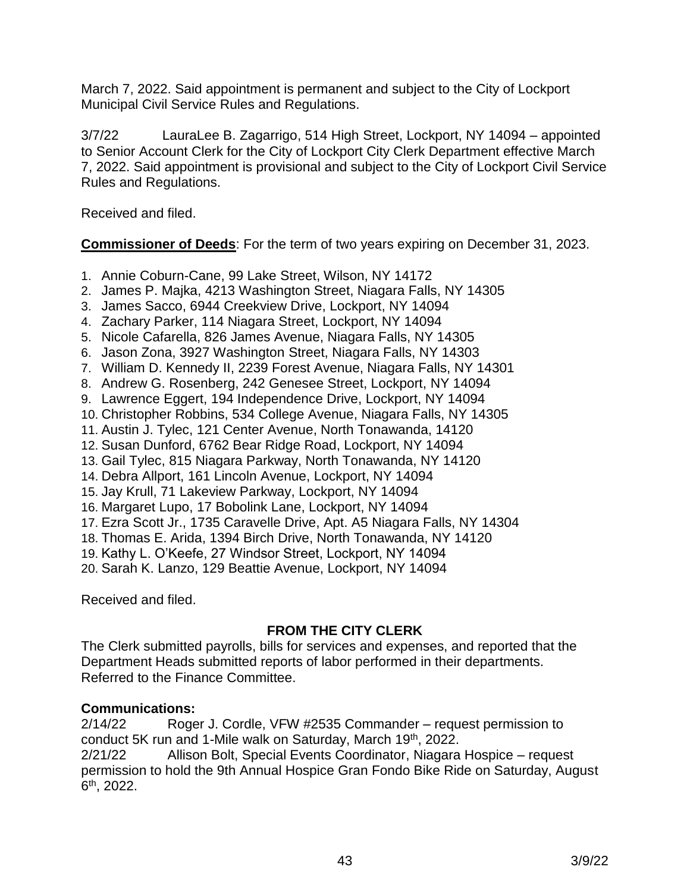March 7, 2022. Said appointment is permanent and subject to the City of Lockport Municipal Civil Service Rules and Regulations.

3/7/22 LauraLee B. Zagarrigo, 514 High Street, Lockport, NY 14094 – appointed to Senior Account Clerk for the City of Lockport City Clerk Department effective March 7, 2022. Said appointment is provisional and subject to the City of Lockport Civil Service Rules and Regulations.

Received and filed.

**Commissioner of Deeds**: For the term of two years expiring on December 31, 2023.

- 1. Annie Coburn-Cane, 99 Lake Street, Wilson, NY 14172
- 2. James P. Majka, 4213 Washington Street, Niagara Falls, NY 14305
- 3. James Sacco, 6944 Creekview Drive, Lockport, NY 14094
- 4. Zachary Parker, 114 Niagara Street, Lockport, NY 14094
- 5. Nicole Cafarella, 826 James Avenue, Niagara Falls, NY 14305
- 6. Jason Zona, 3927 Washington Street, Niagara Falls, NY 14303
- 7. William D. Kennedy II, 2239 Forest Avenue, Niagara Falls, NY 14301
- 8. Andrew G. Rosenberg, 242 Genesee Street, Lockport, NY 14094
- 9. Lawrence Eggert, 194 Independence Drive, Lockport, NY 14094
- 10. Christopher Robbins, 534 College Avenue, Niagara Falls, NY 14305
- 11. Austin J. Tylec, 121 Center Avenue, North Tonawanda, 14120
- 12. Susan Dunford, 6762 Bear Ridge Road, Lockport, NY 14094
- 13. Gail Tylec, 815 Niagara Parkway, North Tonawanda, NY 14120
- 14. Debra Allport, 161 Lincoln Avenue, Lockport, NY 14094
- 15. Jay Krull, 71 Lakeview Parkway, Lockport, NY 14094
- 16. Margaret Lupo, 17 Bobolink Lane, Lockport, NY 14094
- 17. Ezra Scott Jr., 1735 Caravelle Drive, Apt. A5 Niagara Falls, NY 14304
- 18. Thomas E. Arida, 1394 Birch Drive, North Tonawanda, NY 14120
- 19. Kathy L. O'Keefe, 27 Windsor Street, Lockport, NY 14094

20. Sarah K. Lanzo, 129 Beattie Avenue, Lockport, NY 14094

Received and filed.

# **FROM THE CITY CLERK**

The Clerk submitted payrolls, bills for services and expenses, and reported that the Department Heads submitted reports of labor performed in their departments. Referred to the Finance Committee.

# **Communications:**

2/14/22 Roger J. Cordle, VFW #2535 Commander – request permission to conduct 5K run and 1-Mile walk on Saturday, March 19th, 2022. 2/21/22 Allison Bolt, Special Events Coordinator, Niagara Hospice – request permission to hold the 9th Annual Hospice Gran Fondo Bike Ride on Saturday, August 6 th, 2022.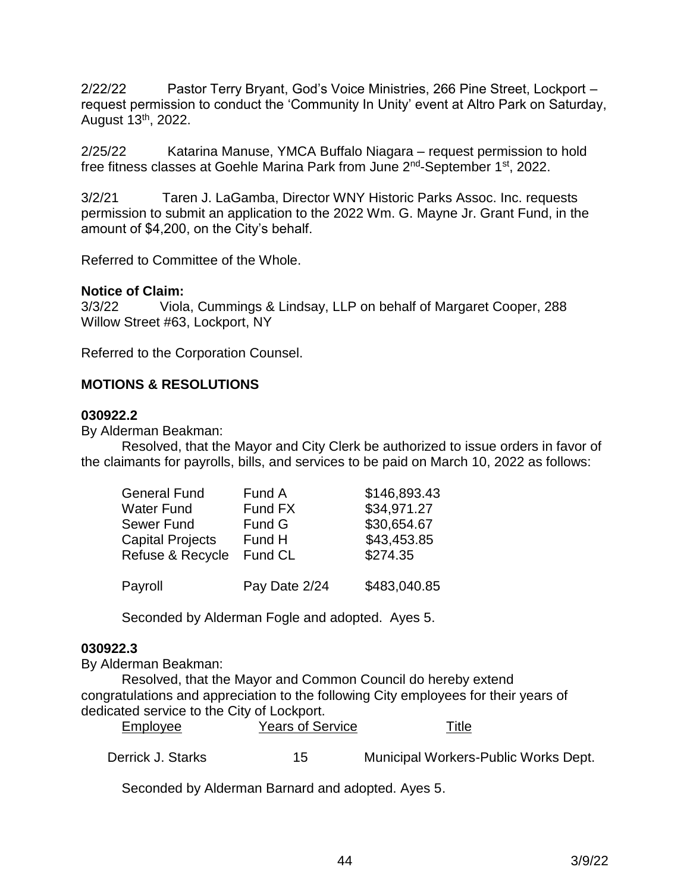2/22/22 Pastor Terry Bryant, God's Voice Ministries, 266 Pine Street, Lockport – request permission to conduct the 'Community In Unity' event at Altro Park on Saturday, August 13th, 2022.

2/25/22 Katarina Manuse, YMCA Buffalo Niagara – request permission to hold free fitness classes at Goehle Marina Park from June 2<sup>nd</sup>-September 1<sup>st</sup>, 2022.

3/2/21 Taren J. LaGamba, Director WNY Historic Parks Assoc. Inc. requests permission to submit an application to the 2022 Wm. G. Mayne Jr. Grant Fund, in the amount of \$4,200, on the City's behalf.

Referred to Committee of the Whole.

## **Notice of Claim:**

3/3/22 Viola, Cummings & Lindsay, LLP on behalf of Margaret Cooper, 288 Willow Street #63, Lockport, NY

Referred to the Corporation Counsel.

# **MOTIONS & RESOLUTIONS**

## **030922.2**

By Alderman Beakman:

Resolved, that the Mayor and City Clerk be authorized to issue orders in favor of the claimants for payrolls, bills, and services to be paid on March 10, 2022 as follows:

| General Fund     | Fund A        |              |
|------------------|---------------|--------------|
| Water Fund       | Fund FX       | \$34,971.27  |
| Sewer Fund       | Fund G        | \$30,654.67  |
| Capital Projects | Fund H        | \$43,453.85  |
| Refuse & Recycle | Fund CL       | \$274.35     |
| Payroll          | Pay Date 2/24 | \$483,040.85 |

Seconded by Alderman Fogle and adopted. Ayes 5.

#### **030922.3**

By Alderman Beakman:

Resolved, that the Mayor and Common Council do hereby extend congratulations and appreciation to the following City employees for their years of dedicated service to the City of Lockport.

| Employee          | <b>Years of Service</b> | Title                                |
|-------------------|-------------------------|--------------------------------------|
| Derrick J. Starks | 15                      | Municipal Workers-Public Works Dept. |

Seconded by Alderman Barnard and adopted. Ayes 5.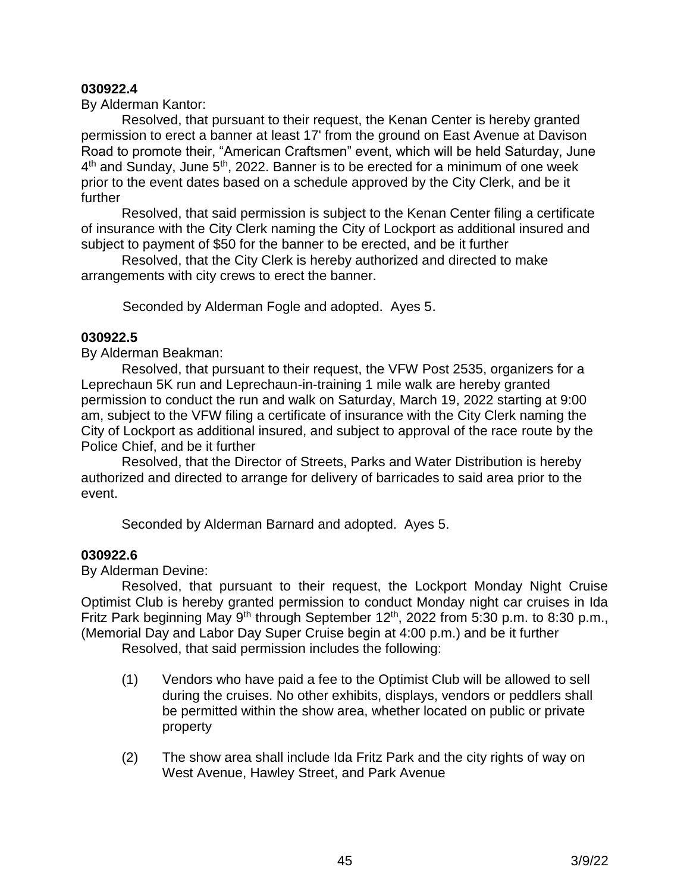### **030922.4**

By Alderman Kantor:

Resolved, that pursuant to their request, the Kenan Center is hereby granted permission to erect a banner at least 17' from the ground on East Avenue at Davison Road to promote their, "American Craftsmen" event, which will be held Saturday, June 4<sup>th</sup> and Sunday, June 5<sup>th</sup>, 2022. Banner is to be erected for a minimum of one week prior to the event dates based on a schedule approved by the City Clerk, and be it further

Resolved, that said permission is subject to the Kenan Center filing a certificate of insurance with the City Clerk naming the City of Lockport as additional insured and subject to payment of \$50 for the banner to be erected, and be it further

Resolved, that the City Clerk is hereby authorized and directed to make arrangements with city crews to erect the banner.

Seconded by Alderman Fogle and adopted. Ayes 5.

## **030922.5**

By Alderman Beakman:

Resolved, that pursuant to their request, the VFW Post 2535, organizers for a Leprechaun 5K run and Leprechaun-in-training 1 mile walk are hereby granted permission to conduct the run and walk on Saturday, March 19, 2022 starting at 9:00 am, subject to the VFW filing a certificate of insurance with the City Clerk naming the City of Lockport as additional insured, and subject to approval of the race route by the Police Chief, and be it further

Resolved, that the Director of Streets, Parks and Water Distribution is hereby authorized and directed to arrange for delivery of barricades to said area prior to the event.

Seconded by Alderman Barnard and adopted. Ayes 5.

# **030922.6**

By Alderman Devine:

Resolved, that pursuant to their request, the Lockport Monday Night Cruise Optimist Club is hereby granted permission to conduct Monday night car cruises in Ida Fritz Park beginning May 9<sup>th</sup> through September 12<sup>th</sup>, 2022 from 5:30 p.m. to 8:30 p.m., (Memorial Day and Labor Day Super Cruise begin at 4:00 p.m.) and be it further

Resolved, that said permission includes the following:

- (1) Vendors who have paid a fee to the Optimist Club will be allowed to sell during the cruises. No other exhibits, displays, vendors or peddlers shall be permitted within the show area, whether located on public or private property
- (2) The show area shall include Ida Fritz Park and the city rights of way on West Avenue, Hawley Street, and Park Avenue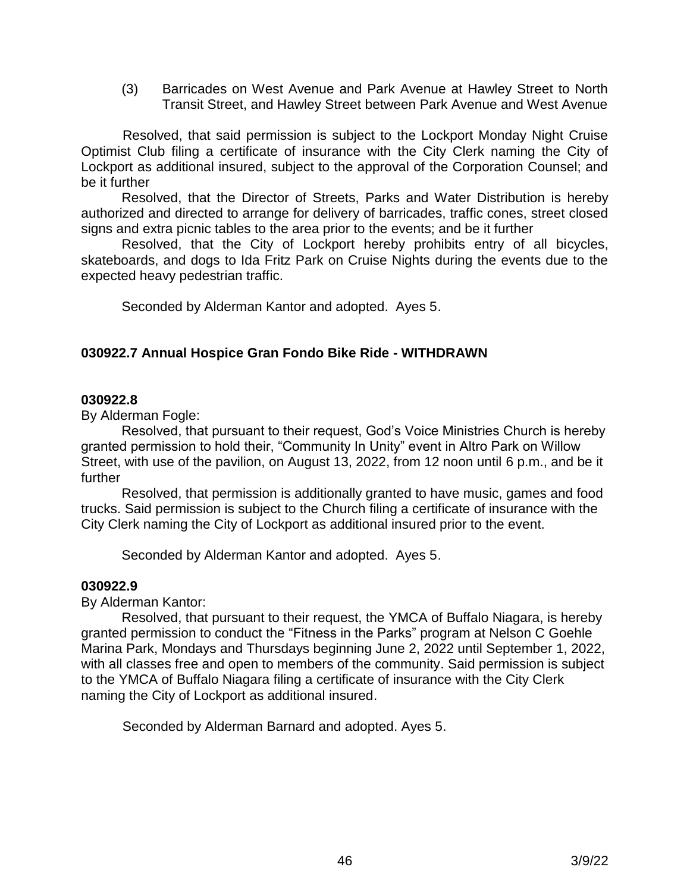(3) Barricades on West Avenue and Park Avenue at Hawley Street to North Transit Street, and Hawley Street between Park Avenue and West Avenue

 Resolved, that said permission is subject to the Lockport Monday Night Cruise Optimist Club filing a certificate of insurance with the City Clerk naming the City of Lockport as additional insured, subject to the approval of the Corporation Counsel; and be it further

Resolved, that the Director of Streets, Parks and Water Distribution is hereby authorized and directed to arrange for delivery of barricades, traffic cones, street closed signs and extra picnic tables to the area prior to the events; and be it further

Resolved, that the City of Lockport hereby prohibits entry of all bicycles, skateboards, and dogs to Ida Fritz Park on Cruise Nights during the events due to the expected heavy pedestrian traffic.

Seconded by Alderman Kantor and adopted. Ayes 5.

# **030922.7 Annual Hospice Gran Fondo Bike Ride - WITHDRAWN**

## **030922.8**

By Alderman Fogle:

Resolved, that pursuant to their request, God's Voice Ministries Church is hereby granted permission to hold their, "Community In Unity" event in Altro Park on Willow Street, with use of the pavilion, on August 13, 2022, from 12 noon until 6 p.m., and be it further

Resolved, that permission is additionally granted to have music, games and food trucks. Said permission is subject to the Church filing a certificate of insurance with the City Clerk naming the City of Lockport as additional insured prior to the event.

Seconded by Alderman Kantor and adopted. Ayes 5.

# **030922.9**

By Alderman Kantor:

Resolved, that pursuant to their request, the YMCA of Buffalo Niagara, is hereby granted permission to conduct the "Fitness in the Parks" program at Nelson C Goehle Marina Park, Mondays and Thursdays beginning June 2, 2022 until September 1, 2022, with all classes free and open to members of the community. Said permission is subject to the YMCA of Buffalo Niagara filing a certificate of insurance with the City Clerk naming the City of Lockport as additional insured.

Seconded by Alderman Barnard and adopted. Ayes 5.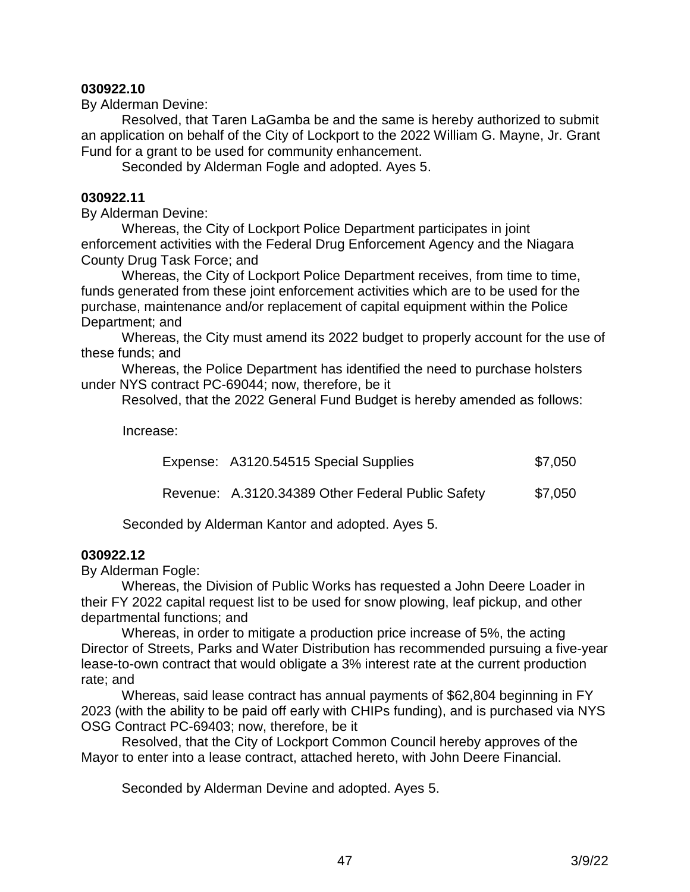## **030922.10**

By Alderman Devine:

Resolved, that Taren LaGamba be and the same is hereby authorized to submit an application on behalf of the City of Lockport to the 2022 William G. Mayne, Jr. Grant Fund for a grant to be used for community enhancement.

Seconded by Alderman Fogle and adopted. Ayes 5.

### **030922.11**

By Alderman Devine:

Whereas, the City of Lockport Police Department participates in joint enforcement activities with the Federal Drug Enforcement Agency and the Niagara County Drug Task Force; and

Whereas, the City of Lockport Police Department receives, from time to time, funds generated from these joint enforcement activities which are to be used for the purchase, maintenance and/or replacement of capital equipment within the Police Department; and

Whereas, the City must amend its 2022 budget to properly account for the use of these funds; and

Whereas, the Police Department has identified the need to purchase holsters under NYS contract PC-69044; now, therefore, be it

Resolved, that the 2022 General Fund Budget is hereby amended as follows:

Increase:

|  | Expense: A3120.54515 Special Supplies | \$7,050 |
|--|---------------------------------------|---------|
|--|---------------------------------------|---------|

Revenue: A.3120.34389 Other Federal Public Safety \$7,050

Seconded by Alderman Kantor and adopted. Ayes 5.

#### **030922.12**

By Alderman Fogle:

Whereas, the Division of Public Works has requested a John Deere Loader in their FY 2022 capital request list to be used for snow plowing, leaf pickup, and other departmental functions; and

Whereas, in order to mitigate a production price increase of 5%, the acting Director of Streets, Parks and Water Distribution has recommended pursuing a five-year lease-to-own contract that would obligate a 3% interest rate at the current production rate; and

Whereas, said lease contract has annual payments of \$62,804 beginning in FY 2023 (with the ability to be paid off early with CHIPs funding), and is purchased via NYS OSG Contract PC-69403; now, therefore, be it

Resolved, that the City of Lockport Common Council hereby approves of the Mayor to enter into a lease contract, attached hereto, with John Deere Financial.

Seconded by Alderman Devine and adopted. Ayes 5.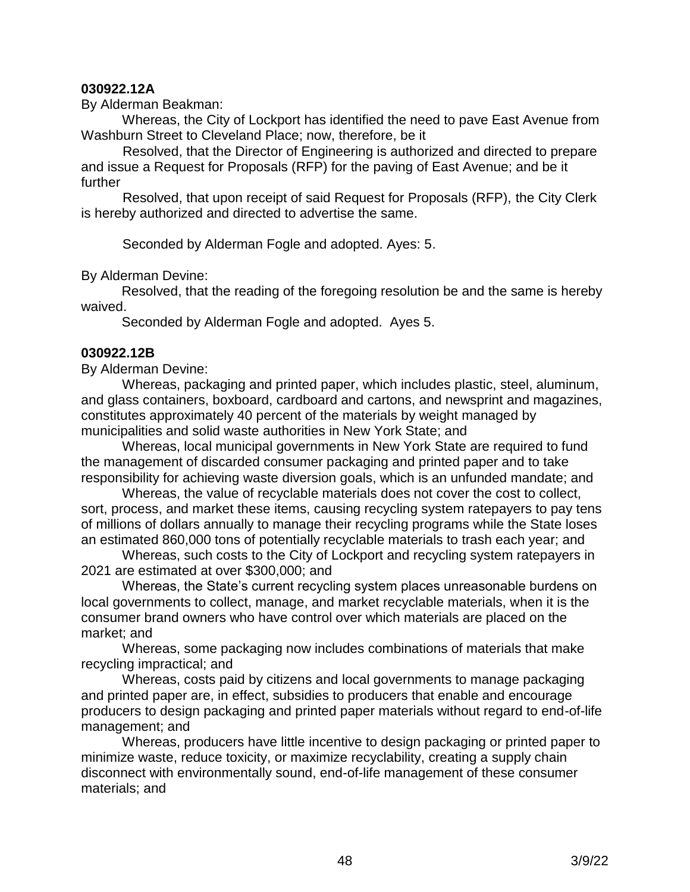## **030922.12A**

By Alderman Beakman:

 Whereas, the City of Lockport has identified the need to pave East Avenue from Washburn Street to Cleveland Place; now, therefore, be it

 Resolved, that the Director of Engineering is authorized and directed to prepare and issue a Request for Proposals (RFP) for the paving of East Avenue; and be it further

 Resolved, that upon receipt of said Request for Proposals (RFP), the City Clerk is hereby authorized and directed to advertise the same.

Seconded by Alderman Fogle and adopted. Ayes: 5.

By Alderman Devine:

Resolved, that the reading of the foregoing resolution be and the same is hereby waived.

Seconded by Alderman Fogle and adopted. Ayes 5.

#### **030922.12B**

By Alderman Devine:

 Whereas, packaging and printed paper, which includes plastic, steel, aluminum, and glass containers, boxboard, cardboard and cartons, and newsprint and magazines, constitutes approximately 40 percent of the materials by weight managed by municipalities and solid waste authorities in New York State; and

 Whereas, local municipal governments in New York State are required to fund the management of discarded consumer packaging and printed paper and to take responsibility for achieving waste diversion goals, which is an unfunded mandate; and

 Whereas, the value of recyclable materials does not cover the cost to collect, sort, process, and market these items, causing recycling system ratepayers to pay tens of millions of dollars annually to manage their recycling programs while the State loses an estimated 860,000 tons of potentially recyclable materials to trash each year; and

 Whereas, such costs to the City of Lockport and recycling system ratepayers in 2021 are estimated at over \$300,000; and

 Whereas, the State's current recycling system places unreasonable burdens on local governments to collect, manage, and market recyclable materials, when it is the consumer brand owners who have control over which materials are placed on the market; and

 Whereas, some packaging now includes combinations of materials that make recycling impractical; and

 Whereas, costs paid by citizens and local governments to manage packaging and printed paper are, in effect, subsidies to producers that enable and encourage producers to design packaging and printed paper materials without regard to end-of-life management; and

 Whereas, producers have little incentive to design packaging or printed paper to minimize waste, reduce toxicity, or maximize recyclability, creating a supply chain disconnect with environmentally sound, end-of-life management of these consumer materials; and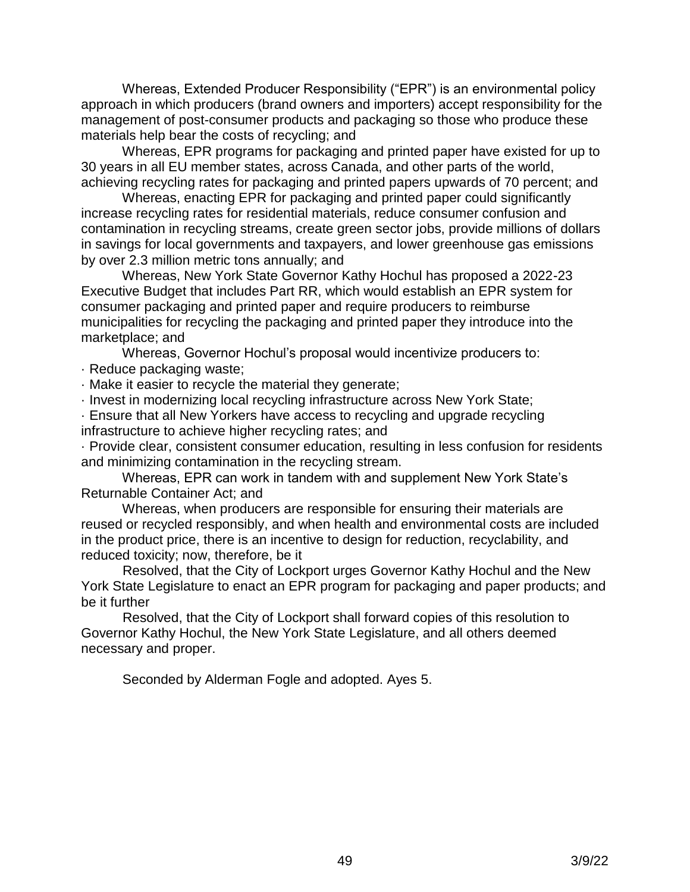Whereas, Extended Producer Responsibility ("EPR") is an environmental policy approach in which producers (brand owners and importers) accept responsibility for the management of post-consumer products and packaging so those who produce these materials help bear the costs of recycling; and

 Whereas, EPR programs for packaging and printed paper have existed for up to 30 years in all EU member states, across Canada, and other parts of the world, achieving recycling rates for packaging and printed papers upwards of 70 percent; and

 Whereas, enacting EPR for packaging and printed paper could significantly increase recycling rates for residential materials, reduce consumer confusion and contamination in recycling streams, create green sector jobs, provide millions of dollars in savings for local governments and taxpayers, and lower greenhouse gas emissions by over 2.3 million metric tons annually; and

 Whereas, New York State Governor Kathy Hochul has proposed a 2022-23 Executive Budget that includes Part RR, which would establish an EPR system for consumer packaging and printed paper and require producers to reimburse municipalities for recycling the packaging and printed paper they introduce into the marketplace; and

Whereas, Governor Hochul's proposal would incentivize producers to:

· Reduce packaging waste;

· Make it easier to recycle the material they generate;

· Invest in modernizing local recycling infrastructure across New York State;

· Ensure that all New Yorkers have access to recycling and upgrade recycling infrastructure to achieve higher recycling rates; and

· Provide clear, consistent consumer education, resulting in less confusion for residents and minimizing contamination in the recycling stream.

 Whereas, EPR can work in tandem with and supplement New York State's Returnable Container Act; and

 Whereas, when producers are responsible for ensuring their materials are reused or recycled responsibly, and when health and environmental costs are included in the product price, there is an incentive to design for reduction, recyclability, and reduced toxicity; now, therefore, be it

 Resolved, that the City of Lockport urges Governor Kathy Hochul and the New York State Legislature to enact an EPR program for packaging and paper products; and be it further

 Resolved, that the City of Lockport shall forward copies of this resolution to Governor Kathy Hochul, the New York State Legislature, and all others deemed necessary and proper.

Seconded by Alderman Fogle and adopted. Ayes 5.